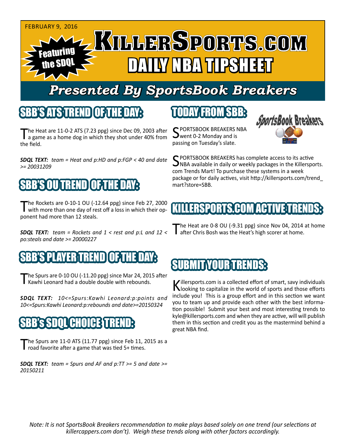

# *Presented By SportsBook Breakers*

#### SBB'S ATSTEREND

The Heat are 11-0-2 ATS (7.23 ppg) since Dec 09, 2003 after<br>a game as a home dog in which they shot under 40% from the field.

*SDQL TEXT: team = Heat and p:HD and p:FGP < 40 and date >= 20031209*

# 'S OUTREND

The Rockets are 0-10-1 OU (-12.64 ppg) since Feb 27, 2000 with more than one day of rest off a loss in which their opponent had more than 12 steals.

*SDQL TEXT: team = Rockets and 1 < rest and p:L and 12 < po:steals and date >= 20000227*

#### YERTIREN

The Spurs are 0-10 OU (-11.20 ppg) since Mar 24, 2015 after<br>Kawhi Leonard had a double double with rebounds.

*SDQL TEXT: 10<=Spurs:Kawhi Leonard:p:points and 10<=Spurs:Kawhi Leonard:p:rebounds and date>=20150324*

#### GHO

The Spurs are 11-0 ATS (11.77 ppg) since Feb 11, 2015 as a road favorite after a game that was tied 5+ times.

*SDQL TEXT: team = Spurs and AF and p:TT >= 5 and date >= 20150211*

## TODAY FROM SBB:

C PORTSBOOK BREAKERS NBA went 0-2 Monday and is passing on Tuesday's slate.



SPORTSBOOK BREAKERS has complete access to its active<br>SNBA available in daily or weekly packages in the Killersports. com Trends Mart! To purchase these systems in a week package or for daily actives, visit http://killersports.com/trend\_ mart?store=SBB.

## KILLERSPORTS.COM ACTIVE TRENDS:

The Heat are 0-8 OU (-9.31 ppg) since Nov 04, 2014 at home after Chris Bosh was the Heat's high scorer at home.

# SUBMIT YOUR TRENDS:

Killersports.com is a collected effort of smart, savy individuals<br>Nooking to capitalize in the world of sports and those efforts include you! This is a group effort and in this section we want you to team up and provide each other with the best information possible! Submit your best and most interesting trends to kyle@killersports.com and when they are active, will will publish them in this section and credit you as the mastermind behind a great NBA find.

*Note: It is not SportsBook Breakers recommendation to make plays based solely on one trend (our selections at killercappers.com don't). Weigh these trends along with other factors accordingly.*